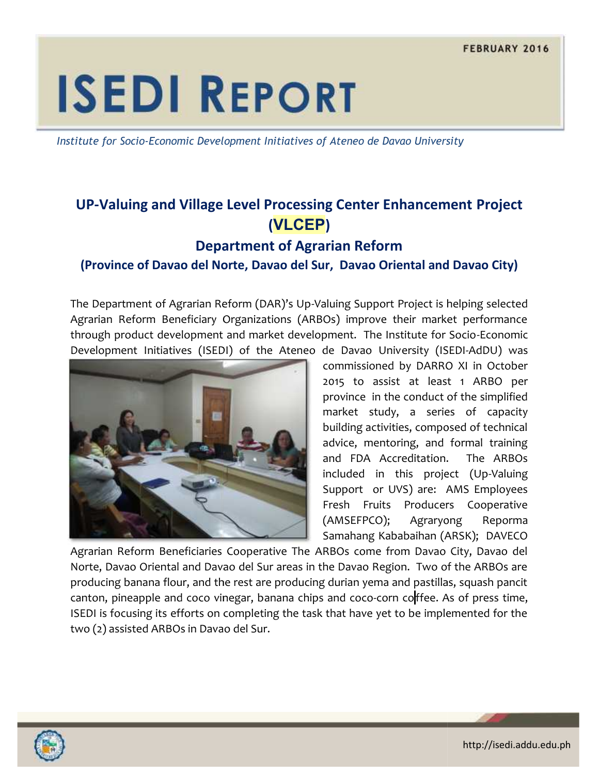# **ISEDI REPORT**

*Institute for Socio-Economic Development Initiatives of Ateneo de Davao University*

## **UP-Valuing and Village Level Processing Center Enhancement Project and Village (VLCEP) VLCEP**

## **Department of Agrarian Reform Department of**

#### **(Province of Davao del Norte, Davao del Sur, Davao Oriental and Davao City) of Davao del Norte,**

The Department of Agrarian Reform (DAR)'s Up-Valuing Support Project is helping selected Agrarian Reform Beneficiary Organizations (ARBOs) improve their market performance through product development and market development. The Institute for Socio-Economic Development Initiatives (ISEDI) of the Ateneo de Davao University (ISEDI-AdDU) was



commissioned by DARRO XI in October 2015 to assist at least 1 ARBO per province in the conduct of the simplified market study, a series of capacity building activities, composed of technical advice, mentoring, and formal training and FDA Accreditation. The ARBOs included in this project (Up-Valuing Support or UVS) are: AMS Employees Fresh Fruits Producers Cooperative (AMSEFPCO); Agraryong Reporma Samahang Kababaihan (ARSK); DAVECO profect is helping selected<br>
Provide their market performance<br>
Institute for Socio-Economic<br>
Dhiversity (ISEDI-AdDU) was<br>
Provided by DARRO XI in October<br>
sist at least 1 ARBO per<br>
the conduct of the simplified<br>
dy, a seri advice, mentoring, and formal training<br>and FDA Accreditation. The ARBOs<br>included in this project (Up-Valuing<br>Support or UVS) are: AMS Employees<br>Fresh Fruits Producers Cooperative<br>(AMSEFPCO); Agraryong Reporma<br>Samahang-Kaba

Agrarian Reform Beneficiaries Cooperative The ARBOs come from Davao City, Davao del Norte, Davao Oriental and Davao del Sur areas in the Davao Region. Two of the ARBOs are producing banana flour, and the rest are producing durian yema and pastillas, squash pancit canton, pineapple and coco vinegar, banana chips and coco-corn coffee. As of press time, ISEDI is focusing its efforts on completing the task that have yet to be implemented for the two (2) assisted ARBOs in Davao del Sur.



http://isedi.addu.edu.ph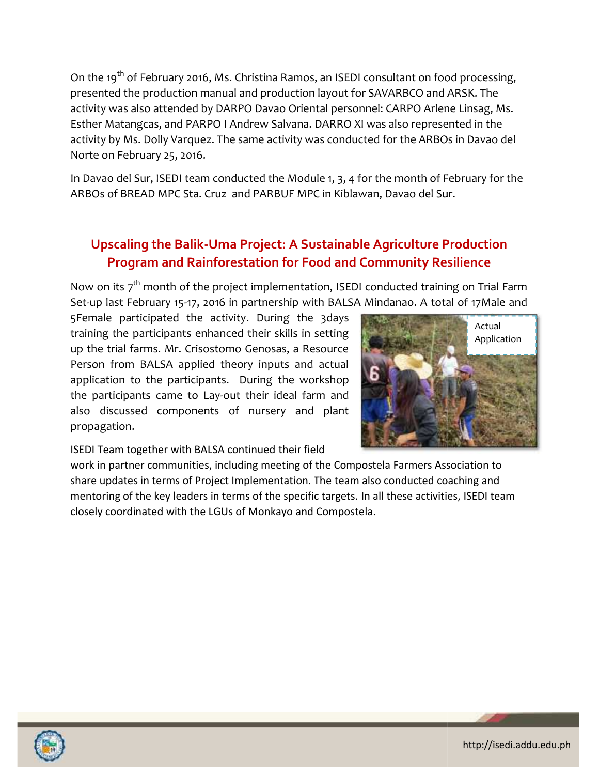On the 19<sup>th</sup> of February 2016, Ms. Christina Ramos, an ISEDI consultant on food processing, presented the production manual and production layout for SAVARBCO and ARSK. The activity was also attended by DARPO Davao Orient presented the production manual and production layout for SAVARBCO and ARSK. The activity was also attended by DARPO Davao Oriental personnel: CARPO Arlene Linsag, Ms. Esther Matangcas, and PARPO I Andrew Salvana. DARRO XI was also represented in the activity by Ms. Dolly Varquez. The same activity was conducted for the ARBOs in Davao del Norte on February 25, 2016.

In Davao del Sur, ISEDI team conducted the Module 1, 3, 4 for the month of February for the In Davao del Sur, ISEDI team conducted the Module 1, 3, 4 for the month of Fe<br>ARBOs of BREAD MPC Sta. Cruz and PARBUF MPC in Kiblawan, Davao del Sur.

## **Upscaling the Balik-Uma Project: A Sustainable Agriculture Production Program and Rainforestation for Food and Community Resilience**

Now on its 7<sup>th</sup> month of the project implementation, ISEDI conducted training on Trial Farm<br>
Set-up last February 15-17, 2016 in partnership with BALSA Mindanao. A total of 17 Male and<br>
5Female participated the activity. Set-up last February 15-17, 2016 in partnership with BALSA Mindanao. A total of 17Male and

5Female participated the activity. During the 3days training the participants enhanced their skills in setting up the trial farms. Mr. Crisostomo Genosas, a Resource Person from BALSA applied theory inputs and actual application to the participants. During the workshop the participants came to Lay-out their ideal farm and also discussed components of nursery and plant propagation. Person from BALSA applied theory inputs and actual<br>application to the participants. During the workshop<br>the participants came to Lay-out their ideal farm and<br>also discussed components of nursery and plant training the participants enhanced their skills in setting<br>up the trial farms. Mr. Crisostomo Genosas, a Resource<br>Person from BALSA applied theory inputs and actual<br>application to the participants. During the workshop<br>the



ISEDI Team together with BALSA continued their field

work in partner communities, including meeting of the Compostela Farmers Association to share updates in terms of Project Implementation. The team also conducted coaching and mentoring of the key leaders in terms of the specific targets. In all these activities, ISEDI team closely coordinated with the LGUs of Monkayo and Compostela.



http://isedi.addu.edu.ph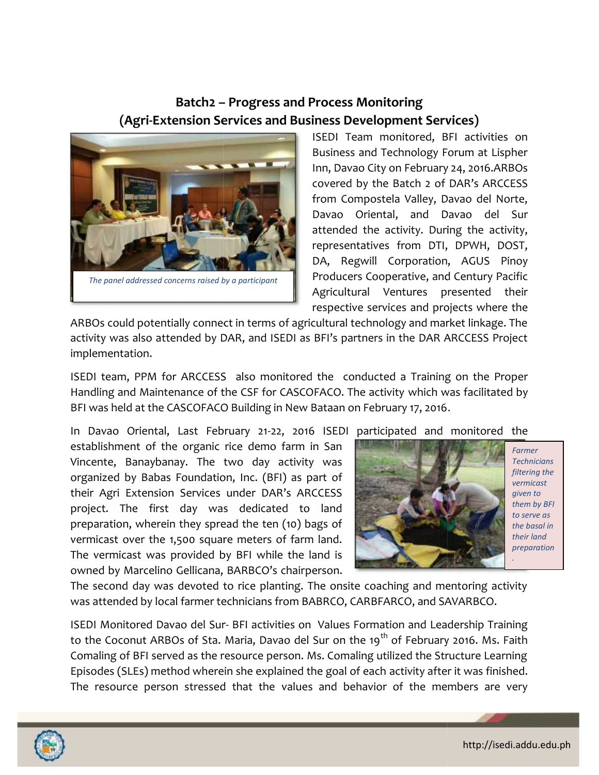### **Batch2 – Progress and Process Monitoring Batch2 – (Agri-Extension Services and Business Development Services) (Agri-Extension**



ISEDI Team monitored, BFI activities on Business and Technology Forum at Lispher Inn, Davao City on February 24, 2016.ARBOs covered by the Batch 2 of DAR's ARCCESS from Compostela Valley, Davao del Norte, Davao Oriental, and Davao del Sur attended the activity. During the activity, representatives from DTI, DPWH, DOST, DA, Regwill Corporation, AGUS Pinoy Producers Cooperative, and Century Pacific Agricultural Ventures presented their respective services and projects where the monitored, BFI activities on<br>d Technology Forum at Lispher<br>ity on February 24, 2016.ARBOs<br>the Batch 2 of DAR's ARCCESS<br>ostela Valley, Davao del Norte, Oriental, and Davao del Sur<br>I the activity. During the activity,<br>tatives from DTI, DPWH, DOST,<br>gwill Corporation, AGUS Pinoy<br>rs Cooperative, and Century Pacific<br>ural Ventures presented their<br>ve services and projects where

ARBOs could potentially connect in terms of agricultural technology and market linkage. The ARBOs could potentially connect in terms of agricultural technology and market linkage. The<br>activity was also attended by DAR, and ISEDI as BFI's partners in the DAR ARCCESS Project implementation.

ISEDI team, PPM for ARCCESS also monitored the conducted a Training on the Proper Handling and Maintenance of the CSF for CASCOFACO. The activity which was facilitated by BFI was held at the CASCOFACO Building in New Bataan on February 17, 2016.

In Davao Oriental, Last February 21-22, 2016 ISEDI participated and monitored the establishment of the organic rice demo farm in San Vincente, Banaybanay. The two day activity was organized by Babas Foundation, Inc. (BFI) as part of their Agri Extension Services under DAR's ARCCESS project. The first day was dedicated to land preparation, wherein they spread the ten (10) bags of vermicast over the 1,500 square meters of farm land. The vermicast was provided by BFI while the land is Hanishas and Technology Forum at Lispine (when the ARBOs concert by the Batch of DAR's ARCCESS<br>
from Compostels Value (and Dava Of the ART ARCCESS<br>
from Compostels Value at Altitud the activity. During the activity<br>
for th

owned by Marcelino Gellicana, BARBCO's chairperson.



*Farmer Technicians filtering the vermicast given to them by BFI to serve as the basal in their land preparation*

The second day was devoted to rice planting. The onsite coaching and mentoring activity was attended by local farmer technicians from BABRCO, CARBFARCO, and SAVARBCO.

ISEDI Monitored Davao del Sur- BFI activities on Values Formation and Leadership Training to the Coconut ARBOs of Sta. Maria, Davao del Sur on the 19<sup>th</sup> of February 2016. Ms. Faith Comaling of BFI served as the resource person. Ms. Comaling utilized the Structure Learning Episodes (SLEs) method wherein she explained the goal of each activity after it was finished. The resource person stressed that the values and behavior of the members are very